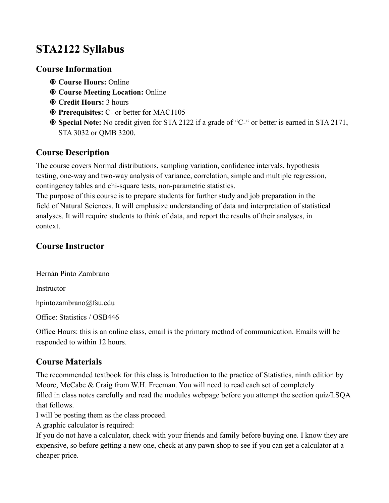# **STA2122 Syllabus**

## **Course Information**

- **Course Hours:** Online
- **Course Meeting Location:** Online
- **Credit Hours:** 3 hours
- **Prerequisites:** C- or better for MAC1105
- **Special Note:** No credit given for STA 2122 if a grade of "C-" or better is earned in STA 2171, STA 3032 or QMB 3200.

# **Course Description**

The course covers Normal distributions, sampling variation, confidence intervals, hypothesis testing, one-way and two-way analysis of variance, correlation, simple and multiple regression, contingency tables and chi-square tests, non-parametric statistics.

The purpose of this course is to prepare students for further study and job preparation in the field of Natural Sciences. It will emphasize understanding of data and interpretation of statistical analyses. It will require students to think of data, and report the results of their analyses, in context.

# **Course Instructor**

Hernán Pinto Zambrano Instructor [hpintozambrano@fsu.edu](mailto:hedp09@fsu.edu) Office: Statistics / OSB446

Office Hours: this is an online class, email is the primary method of communication. Emails will be responded to within 12 hours.

# **Course Materials**

The recommended textbook for this class is Introduction to the practice of Statistics, ninth edition by Moore, McCabe & Craig from W.H. Freeman. You will need to read each set of completely filled in class notes carefully and read the modules webpage before you attempt the section quiz/LSQA that follows.

I will be posting them as the class proceed.

A graphic calculator is required:

If you do not have a calculator, check with your friends and family before buying one. I know they are expensive, so before getting a new one, check at any pawn shop to see if you can get a calculator at a cheaper price.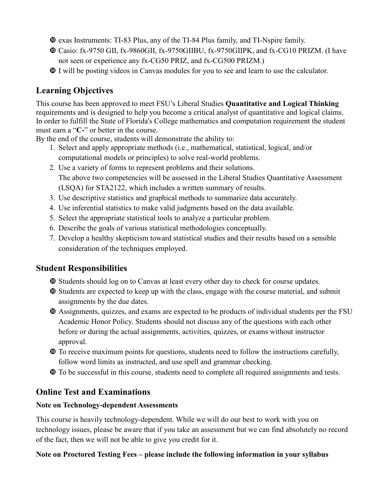- exas Instruments: TI-83 Plus, any of the TI-84 Plus family, and TI-Nspire family.
- Casio: fx-9750 GII, fx-9860GII, fx-9750GIIBU, fx-9750GIIPK, and fx-CG10 PRIZM. (I have not seen or experience any fx-CG50 PRIZ, and fx-CG500 PRIZM.)
- I will be posting videos in Canvas modules for you to see and learn to use the calculator.

# **Learning Objectives**

This course has been approved to meet FSU's Liberal Studies **Quantitative and Logical Thinking** requirements and is designed to help you become a critical analyst of quantitative and logical claims. In order to fulfill the State of Florida's College mathematics and computation requirement the student must earn a "**C-**" or better in the course.

By the end of the course, students will demonstrate the ability to:

- 1. Select and apply appropriate methods (i.e., mathematical, statistical, logical, and/or computational models or principles) to solve real-world problems.
- 2. Use a variety of forms to represent problems and their solutions. The above two competencies will be assessed in the Liberal Studies Quantitative Assessment (LSQA) for STA2122, which includes a written summary of results.
- 3. Use descriptive statistics and graphical methods to summarize data accurately.
- 4. Use inferential statistics to make valid judgments based on the data available.
- 5. Select the appropriate statistical tools to analyze a particular problem.
- 6. Describe the goals of various statistical methodologies conceptually.
- 7. Develop a healthy skepticism toward statistical studies and their results based on a sensible consideration of the techniques employed.

# **Student Responsibilities**

- Students should log on to Canvas at least every other day to check for course updates.
- Students are expected to keep up with the class, engage with the course material, and submit assignments by the due dates.
- Assignments, quizzes, and exams are expected to be products of individual students per the [FSU](http://registrar.fsu.edu/bulletin/undergraduate/information/integrity/)  [Academic Honor Policy.](http://registrar.fsu.edu/bulletin/undergraduate/information/integrity/) Students should not discuss any of the questions with each other before or during the actual assignments, activities, quizzes, or exams without instructor approval.
- To receive maximum points for questions, students need to follow the instructions carefully, follow word limits as instructed, and use spell and grammar checking.
- To be successful in this course, students need to complete all required assignments and tests.

# **Online Test and Examinations**

## **Note on Technology-dependent Assessments**

This course is heavily technology-dependent. While we will do our best to work with you on technology issues, please be aware that if you take an assessment but we can find absolutely no record of the fact, then we will not be able to give you credit for it.

## **Note on Proctored Testing Fees – please include the following information in your syllabus**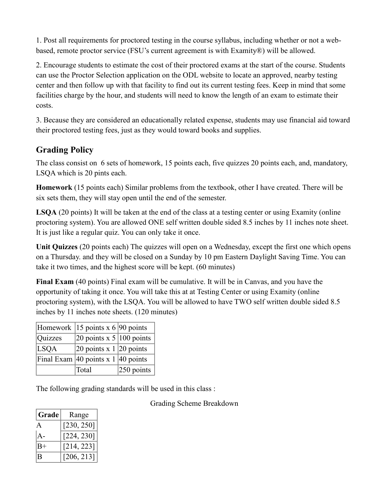1. Post all requirements for proctored testing in the course syllabus, including whether or not a webbased, remote proctor service (FSU's current agreement is with Examity®) will be allowed.

2. Encourage students to estimate the cost of their proctored exams at the start of the course. Students can use the Proctor Selection application on the ODL website to locate an approved, nearby testing center and then follow up with that facility to find out its current testing fees. Keep in mind that some facilities charge by the hour, and students will need to know the length of an exam to estimate their costs.

3. Because they are considered an educationally related expense, students may use financial aid toward their proctored testing fees, just as they would toward books and supplies.

# **Grading Policy**

The class consist on 6 sets of homework, 15 points each, five quizzes 20 points each, and, mandatory, LSQA which is 20 pints each.

**Homework** (15 points each) Similar problems from the textbook, other I have created. There will be six sets them, they will stay open until the end of the semester.

**LSQA** (20 points) It will be taken at the end of the class at a testing center or using Examity (online proctoring system). You are allowed ONE self written double sided 8.5 inches by 11 inches note sheet. It is just like a regular quiz. You can only take it once.

**Unit Quizzes** (20 points each) The quizzes will open on a Wednesday, except the first one which opens on a Thursday. and they will be closed on a Sunday by 10 pm Eastern Daylight Saving Time. You can take it two times, and the highest score will be kept. (60 minutes)

**Final Exam** (40 points) Final exam will be cumulative. It will be in Canvas, and you have the opportunity of taking it once. You will take this at at Testing Center or using Examity (online proctoring system), with the LSQA. You will be allowed to have TWO self written double sided 8.5 inches by 11 inches note sheets. (120 minutes)

|             | Homework 15 points x 6 90 points   |               |
|-------------|------------------------------------|---------------|
| Quizzes     | 20 points x $5 100$ points         |               |
| <b>LSQA</b> | 20 points x $1 20$ points          |               |
|             | Final Exam 40 points x 1 40 points |               |
|             | Total                              | $ 250$ points |

The following grading standards will be used in this class :

Grading Scheme Breakdown

| Grade | Range      |  |
|-------|------------|--|
| A     | [230, 250] |  |
| $A -$ | [224, 230] |  |
| $B+$  | [214, 223] |  |
| B     | [206, 213] |  |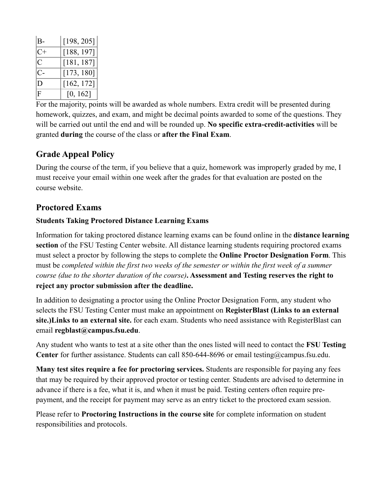| В-          | [198, 205] |
|-------------|------------|
| $C+$        | [188, 197] |
| С           | [181, 187] |
| C-          | [173, 180] |
|             | [162, 172] |
| $\mathsf F$ | [0, 162]   |

For the majority, points will be awarded as whole numbers. Extra credit will be presented during homework, quizzes, and exam, and might be decimal points awarded to some of the questions. They will be carried out until the end and will be rounded up. **No specific extra-credit-activities** will be granted **during** the course of the class or **after the Final Exam**.

# **Grade Appeal Policy**

During the course of the term, if you believe that a quiz, homework was improperly graded by me, I must receive your email within one week after the grades for that evaluation are posted on the course website.

## **Proctored Exams**

#### **Students Taking Proctored Distance Learning Exams**

Information for taking proctored distance learning exams can be found online in the **[distance learning](http://distance.fsu.edu/instructors/assessment-and-testing)  [section](http://distance.fsu.edu/instructors/assessment-and-testing)** of the FSU Testing Center website. All distance learning students requiring proctored exams must select a proctor by following the steps to complete the **[Online Proctor Designation Form](http://campus.fsu.edu/proctor)**. This must be *completed within the first two weeks of the semester or within the first week of a summer course (due to the shorter duration of the course)***. Assessment and Testing reserves the right to reject any proctor submission after the deadline.**

In addition to designating a proctor using the Online Proctor Designation Form, any student who selects the FSU Testing Center must make an appointment on **RegisterBlast [\(Links to an external](http://www.registerblast.com/fsu)  [site.\)Links to an external site.](http://www.registerblast.com/fsu)** for each exam. Students who need assistance with RegisterBlast can email **[regblast@campus.fsu.edu](mailto:regblast@campus.fsu.edu)**.

Any student who wants to test at a site other than the ones listed will need to contact the **[FSU Testing](http://distance.fsu.edu/testing)  [Center](http://distance.fsu.edu/testing)** for further assistance. Students can call 850-644-8696 or email [testing@campus.fsu.edu.](mailto:testing@campus.fsu.edu)

**Many test sites require a fee for proctoring services.** Students are responsible for paying any fees that may be required by their approved proctor or testing center. Students are advised to determine in advance if there is a fee, what it is, and when it must be paid. Testing centers often require prepayment, and the receipt for payment may serve as an entry ticket to the proctored exam session.

Please refer to **Proctoring Instructions in the course site** for complete information on student responsibilities and protocols.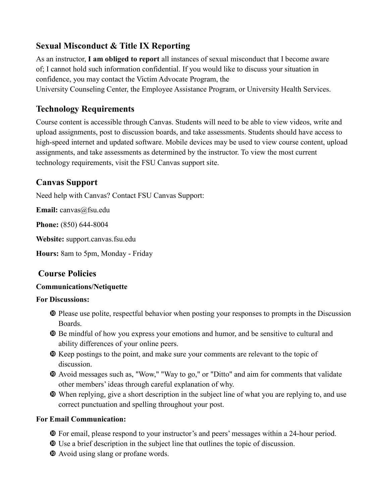# **Sexual Misconduct & Title IX Reporting**

As an instructor, **I am obliged to report** all instances of sexual misconduct that I become aware of; I cannot hold such information confidential. If you would like to discuss your situation in confidence, you may contact the [Victim Advocate Program,](https://dos.fsu.edu/vap/) the University [Counseling Center,](https://counseling.fsu.edu/) the [Employee Assistance Program,](https://eap.fsu.edu/) or [University Health Services.](https://uhs.fsu.edu/)

## **Technology Requirements**

Course content is accessible through Canvas. Students will need to be able to view videos, write and upload assignments, post to discussion boards, and take assessments. Students should have access to high-speed internet and updated software. Mobile devices may be used to view course content, upload assignments, and take assessments as determined by the instructor. To view the most current technology requirements, visit the [FSU Canvas support site.](http://support.canvas.fsu.edu/)

## **Canvas Support**

Need help with Canvas? Contact FSU Canvas Support:

**Email:** [canvas@fsu.edu](mailto:canvas@fsu.edu)

**Phone:** (850) 644-8004

**Website:** [support.canvas.fsu.edu](http://support.canvas.fsu.edu/)

**Hours:** 8am to 5pm, Monday - Friday

## **Course Policies**

## **Communications/Netiquette**

#### **For Discussions:**

- Please use polite, respectful behavior when posting your responses to prompts in the Discussion **Boards**
- Be mindful of how you express your emotions and humor, and be sensitive to cultural and ability differences of your online peers.
- Keep postings to the point, and make sure your comments are relevant to the topic of discussion.
- Avoid messages such as, "Wow," "Way to go," or "Ditto" and aim for comments that validate other members' ideas through careful explanation of why.
- When replying, give a short description in the subject line of what you are replying to, and use correct punctuation and spelling throughout your post.

## **For Email Communication:**

- For email, please respond to your instructor's and peers' messages within a 24-hour period.
- Use a brief description in the subject line that outlines the topic of discussion.
- Avoid using slang or profane words.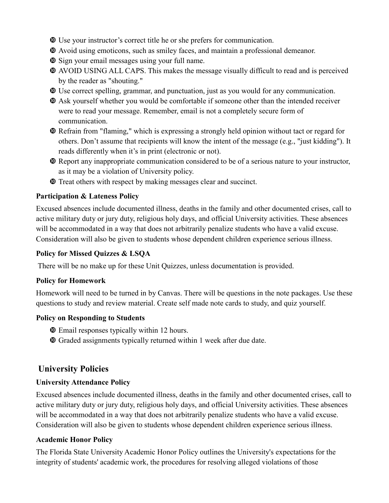- Use your instructor's correct title he or she prefers for communication.
- Avoid using emoticons, such as smiley faces, and maintain a professional demeanor.
- Sign your email messages using your full name.
- AVOID USING ALL CAPS. This makes the message visually difficult to read and is perceived by the reader as "shouting."
- Use correct spelling, grammar, and punctuation, just as you would for any communication.
- Ask yourself whether you would be comfortable if someone other than the intended receiver were to read your message. Remember, email is not a completely secure form of communication.
- Refrain from "flaming," which is expressing a strongly held opinion without tact or regard for others. Don't assume that recipients will know the intent of the message (e.g., "just kidding"). It reads differently when it's in print (electronic or not).
- Report any inappropriate communication considered to be of a serious nature to your instructor, as it may be a violation of University policy.
- Treat others with respect by making messages clear and succinct.

#### **Participation & Lateness Policy**

Excused absences include documented illness, deaths in the family and other documented crises, call to active military duty or jury duty, religious holy days, and official University activities. These absences will be accommodated in a way that does not arbitrarily penalize students who have a valid excuse. Consideration will also be given to students whose dependent children experience serious illness.

#### **Policy for Missed Quizzes & LSQA**

There will be no make up for these Unit Quizzes, unless documentation is provided.

#### **Policy for Homework**

Homework will need to be turned in by Canvas. There will be questions in the note packages. Use these questions to study and review material. Create self made note cards to study, and quiz yourself.

#### **Policy on Responding to Students**

- Email responses typically within 12 hours.
- Graded assignments typically returned within 1 week after due date.

# **University Policies**

## **University Attendance Policy**

Excused absences include documented illness, deaths in the family and other documented crises, call to active military duty or jury duty, religious holy days, and official University activities. These absences will be accommodated in a way that does not arbitrarily penalize students who have a valid excuse. Consideration will also be given to students whose dependent children experience serious illness.

#### **Academic Honor Policy**

The Florida State University Academic Honor Policy outlines the University's expectations for the integrity of students' academic work, the procedures for resolving alleged violations of those